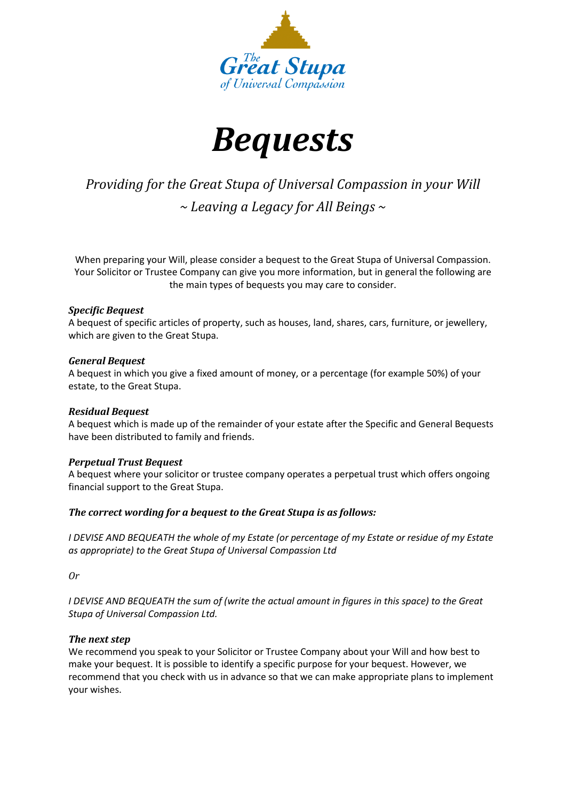



# *Providing for the Great Stupa of Universal Compassion in your Will ~ Leaving a Legacy for All Beings ~*

When preparing your Will, please consider a bequest to the Great Stupa of Universal Compassion. Your Solicitor or Trustee Company can give you more information, but in general the following are the main types of bequests you may care to consider.

## *Specific Bequest*

A bequest of specific articles of property, such as houses, land, shares, cars, furniture, or jewellery, which are given to the Great Stupa.

## *General Bequest*

A bequest in which you give a fixed amount of money, or a percentage (for example 50%) of your estate, to the Great Stupa.

# *Residual Bequest*

A bequest which is made up of the remainder of your estate after the Specific and General Bequests have been distributed to family and friends.

# *Perpetual Trust Bequest*

A bequest where your solicitor or trustee company operates a perpetual trust which offers ongoing financial support to the Great Stupa.

# *The correct wording for a bequest to the Great Stupa is as follows:*

*I DEVISE AND BEQUEATH the whole of my Estate (or percentage of my Estate or residue of my Estate as appropriate) to the Great Stupa of Universal Compassion Ltd*

*Or*

*I DEVISE AND BEQUEATH the sum of (write the actual amount in figures in this space) to the Great Stupa of Universal Compassion Ltd.*

#### *The next step*

We recommend you speak to your Solicitor or Trustee Company about your Will and how best to make your bequest. It is possible to identify a specific purpose for your bequest. However, we recommend that you check with us in advance so that we can make appropriate plans to implement your wishes.